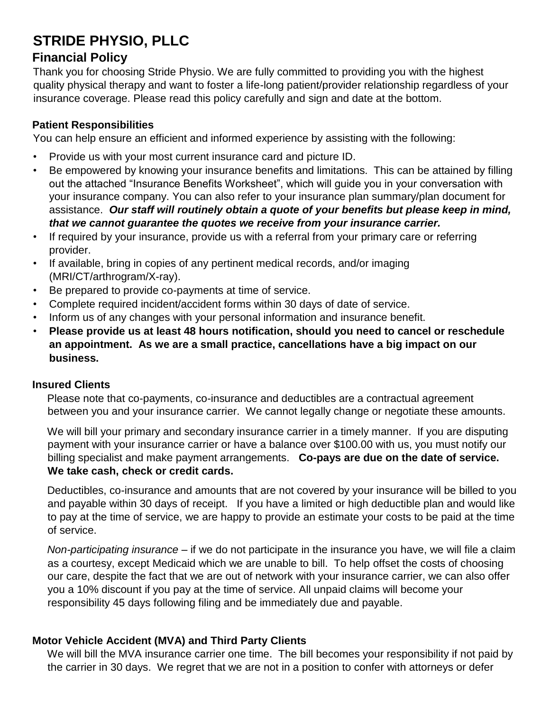# **STRIDE PHYSIO, PLLC**

# **Financial Policy**

Thank you for choosing Stride Physio. We are fully committed to providing you with the highest quality physical therapy and want to foster a life-long patient/provider relationship regardless of your insurance coverage. Please read this policy carefully and sign and date at the bottom.

## **Patient Responsibilities**

You can help ensure an efficient and informed experience by assisting with the following:

- Provide us with your most current insurance card and picture ID.
- Be empowered by knowing your insurance benefits and limitations. This can be attained by filling out the attached "Insurance Benefits Worksheet", which will guide you in your conversation with your insurance company. You can also refer to your insurance plan summary/plan document for assistance. *Our staff will routinely obtain a quote of your benefits but please keep in mind, that we cannot guarantee the quotes we receive from your insurance carrier.*
- If required by your insurance, provide us with a referral from your primary care or referring provider.
- If available, bring in copies of any pertinent medical records, and/or imaging (MRI/CT/arthrogram/X-ray).
- Be prepared to provide co-payments at time of service.
- Complete required incident/accident forms within 30 days of date of service.
- Inform us of any changes with your personal information and insurance benefit.
- **Please provide us at least 48 hours notification, should you need to cancel or reschedule an appointment. As we are a small practice, cancellations have a big impact on our business.**

#### **Insured Clients**

Please note that co-payments, co-insurance and deductibles are a contractual agreement between you and your insurance carrier. We cannot legally change or negotiate these amounts.

We will bill your primary and secondary insurance carrier in a timely manner. If you are disputing payment with your insurance carrier or have a balance over \$100.00 with us, you must notify our billing specialist and make payment arrangements. **Co-pays are due on the date of service. We take cash, check or credit cards.** 

#### Deductibles, co-insurance and amounts that are not covered by your insurance will be billed to you and payable within 30 days of receipt. If you have a limited or high deductible plan and would like to pay at the time of service, we are happy to provide an estimate your costs to be paid at the time of service.

*Non-participating insurance* – if we do not participate in the insurance you have, we will file a claim as a courtesy, except Medicaid which we are unable to bill. To help offset the costs of choosing our care, despite the fact that we are out of network with your insurance carrier, we can also offer you a 10% discount if you pay at the time of service. All unpaid claims will become your responsibility 45 days following filing and be immediately due and payable.

## **Motor Vehicle Accident (MVA) and Third Party Clients**

We will bill the MVA insurance carrier one time. The bill becomes your responsibility if not paid by the carrier in 30 days. We regret that we are not in a position to confer with attorneys or defer